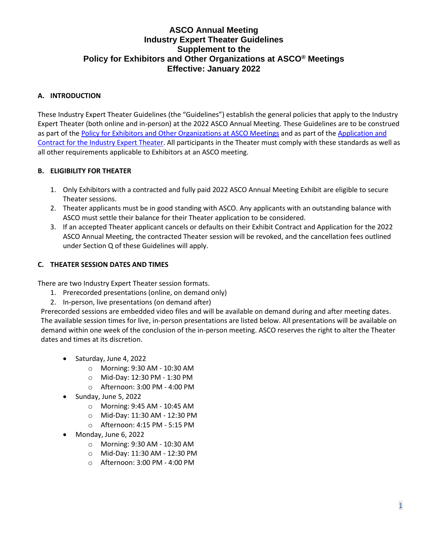# **ASCO Annual Meeting Industry Expert Theater Guidelines Supplement to the Policy for Exhibitors and Other Organizations at ASCO® Meetings Effective: January 2022**

## **A. INTRODUCTION**

These Industry Expert Theater Guidelines (the "Guidelines") establish the general policies that apply to the Industry Expert Theater (both online and in-person) at the 2022 ASCO Annual Meeting. These Guidelines are to be construed as part of the Policy [for Exhibitors and Other Organizations at ASCO Meetings](https://www.asco.org/meetings-education/meetings/exhibitor-information/exhibitor-policies) and as part of th[e Application and](https://events.jspargo.com/ASCO22/CUSTOM/pdf/ASCO2022IETApp.pdf)  [Contract for the Industry Expert Theater.](https://events.jspargo.com/ASCO22/CUSTOM/pdf/ASCO2022IETApp.pdf) All participants in the Theater must comply with these standards as well as all other requirements applicable to Exhibitors at an ASCO meeting.

## **B. ELIGIBILITY FOR THEATER**

- 1. Only Exhibitors with a contracted and fully paid 2022 ASCO Annual Meeting Exhibit are eligible to secure Theater sessions.
- 2. Theater applicants must be in good standing with ASCO. Any applicants with an outstanding balance with ASCO must settle their balance for their Theater application to be considered.
- 3. If an accepted Theater applicant cancels or defaults on their Exhibit Contract and Application for the 2022 ASCO Annual Meeting, the contracted Theater session will be revoked, and the cancellation fees outlined under Section Q of these Guidelines will apply.

# **C. THEATER SESSION DATES AND TIMES**

There are two Industry Expert Theater session formats.

- 1. Prerecorded presentations (online, on demand only)
- 2. In-person, live presentations (on demand after)

Prerecorded sessions are embedded video files and will be available on demand during and after meeting dates. The available session times for live, in-person presentations are listed below. All presentations will be available on demand within one week of the conclusion of the in-person meeting. ASCO reserves the right to alter the Theater dates and times at its discretion.

- Saturday, June 4, 2022
	- o Morning: 9:30 AM 10:30 AM
	- o Mid-Day: 12:30 PM 1:30 PM
	- o Afternoon: 3:00 PM 4:00 PM
- Sunday, June 5, 2022
	- o Morning: 9:45 AM 10:45 AM
	- o Mid-Day: 11:30 AM 12:30 PM
	- o Afternoon: 4:15 PM 5:15 PM
- Monday, June 6, 2022
	- o Morning: 9:30 AM 10:30 AM
	- o Mid-Day: 11:30 AM 12:30 PM
	- o Afternoon: 3:00 PM 4:00 PM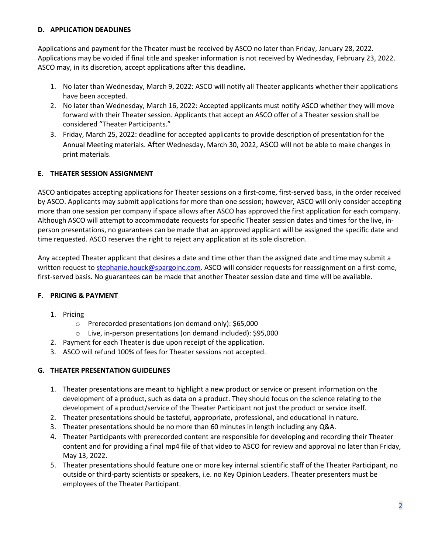## **D. APPLICATION DEADLINES**

Applications and payment for the Theater must be received by ASCO no later than Friday, January 28, 2022. Applications may be voided if final title and speaker information is not received by Wednesday, February 23, 2022. ASCO may, in its discretion, accept applications after this deadline**.** 

- 1. No later than Wednesday, March 9, 2022: ASCO will notify all Theater applicants whether their applications have been accepted.
- 2. No later than Wednesday, March 16, 2022: Accepted applicants must notify ASCO whether they will move forward with their Theater session. Applicants that accept an ASCO offer of a Theater session shall be considered "Theater Participants."
- 3. Friday, March 25, 2022: deadline for accepted applicants to provide description of presentation for the Annual Meeting materials. After Wednesday, March 30, 2022, ASCO will not be able to make changes in print materials.

# **E. THEATER SESSION ASSIGNMENT**

ASCO anticipates accepting applications for Theater sessions on a first-come, first-served basis, in the order received by ASCO. Applicants may submit applications for more than one session; however, ASCO will only consider accepting more than one session per company if space allows after ASCO has approved the first application for each company. Although ASCO will attempt to accommodate requests for specific Theater session dates and times for the live, inperson presentations, no guarantees can be made that an approved applicant will be assigned the specific date and time requested. ASCO reserves the right to reject any application at its sole discretion.

Any accepted Theater applicant that desires a date and time other than the assigned date and time may submit a written request to [stephanie.houck@spargoinc.com.](mailto:stephanie.houck@spargoinc.com) ASCO will consider requests for reassignment on a first-come, first-served basis. No guarantees can be made that another Theater session date and time will be available.

## **F. PRICING & PAYMENT**

- 1. Pricing
	- o Prerecorded presentations (on demand only): \$65,000
	- o Live, in-person presentations (on demand included): \$95,000
- 2. Payment for each Theater is due upon receipt of the application.
- 3. ASCO will refund 100% of fees for Theater sessions not accepted.

## **G. THEATER PRESENTATION GUIDELINES**

- 1. Theater presentations are meant to highlight a new product or service or present information on the development of a product, such as data on a product. They should focus on the science relating to the development of a product/service of the Theater Participant not just the product or service itself.
- 2. Theater presentations should be tasteful, appropriate, professional, and educational in nature.
- 3. Theater presentations should be no more than 60 minutes in length including any Q&A.
- 4. Theater Participants with prerecorded content are responsible for developing and recording their Theater content and for providing a final mp4 file of that video to ASCO for review and approval no later than Friday, May 13, 2022.
- 5. Theater presentations should feature one or more key internal scientific staff of the Theater Participant, no outside or third-party scientists or speakers, i.e. no Key Opinion Leaders. Theater presenters must be employees of the Theater Participant.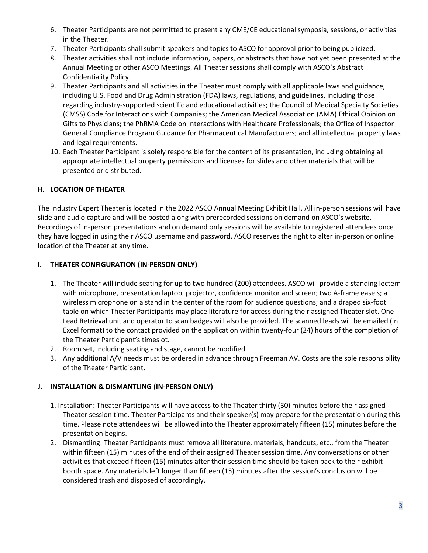- 6. Theater Participants are not permitted to present any CME/CE educational symposia, sessions, or activities in the Theater.
- 7. Theater Participants shall submit speakers and topics to ASCO for approval prior to being publicized.
- 8. Theater activities shall not include information, papers, or abstracts that have not yet been presented at the Annual Meeting or other ASCO Meetings. All Theater sessions shall comply with ASCO's Abstract Confidentiality Policy.
- 9. Theater Participants and all activities in the Theater must comply with all applicable laws and guidance, including U.S. Food and Drug Administration (FDA) laws, regulations, and guidelines, including those regarding industry-supported scientific and educational activities; the Council of Medical Specialty Societies (CMSS) Code for Interactions with Companies; the American Medical Association (AMA) Ethical Opinion on Gifts to Physicians; the PhRMA Code on Interactions with Healthcare Professionals; the Office of Inspector General Compliance Program Guidance for Pharmaceutical Manufacturers; and all intellectual property laws and legal requirements.
- 10. Each Theater Participant is solely responsible for the content of its presentation, including obtaining all appropriate intellectual property permissions and licenses for slides and other materials that will be presented or distributed.

## **H. LOCATION OF THEATER**

The Industry Expert Theater is located in the 2022 ASCO Annual Meeting Exhibit Hall. All in-person sessions will have slide and audio capture and will be posted along with prerecorded sessions on demand on ASCO's website. Recordings of in-person presentations and on demand only sessions will be available to registered attendees once they have logged in using their ASCO username and password. ASCO reserves the right to alter in-person or online location of the Theater at any time.

# **I. THEATER CONFIGURATION (IN-PERSON ONLY)**

- 1. The Theater will include seating for up to two hundred (200) attendees. ASCO will provide a standing lectern with microphone, presentation laptop, projector, confidence monitor and screen; two A-frame easels; a wireless microphone on a stand in the center of the room for audience questions; and a draped six-foot table on which Theater Participants may place literature for access during their assigned Theater slot. One Lead Retrieval unit and operator to scan badges will also be provided. The scanned leads will be emailed (in Excel format) to the contact provided on the application within twenty-four (24) hours of the completion of the Theater Participant's timeslot.
- 2. Room set, including seating and stage, cannot be modified.
- 3. Any additional A/V needs must be ordered in advance through Freeman AV. Costs are the sole responsibility of the Theater Participant.

## **J. INSTALLATION & DISMANTLING (IN-PERSON ONLY)**

- 1. Installation: Theater Participants will have access to the Theater thirty (30) minutes before their assigned Theater session time. Theater Participants and their speaker(s) may prepare for the presentation during this time. Please note attendees will be allowed into the Theater approximately fifteen (15) minutes before the presentation begins.
- 2. Dismantling: Theater Participants must remove all literature, materials, handouts, etc., from the Theater within fifteen (15) minutes of the end of their assigned Theater session time. Any conversations or other activities that exceed fifteen (15) minutes after their session time should be taken back to their exhibit booth space. Any materials left longer than fifteen (15) minutes after the session's conclusion will be considered trash and disposed of accordingly.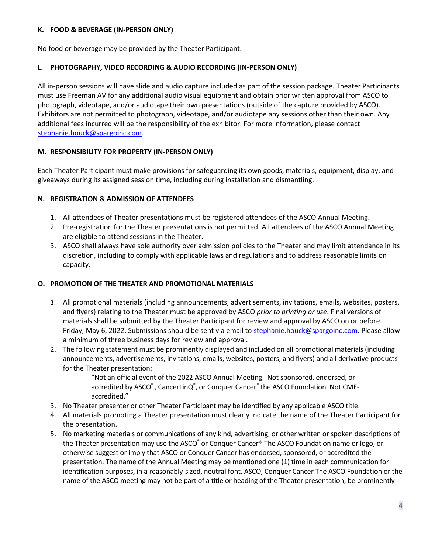#### **K. FOOD & BEVERAGE (IN-PERSON ONLY)**

No food or beverage may be provided by the Theater Participant.

#### **L. PHOTOGRAPHY, VIDEO RECORDING & AUDIO RECORDING (IN-PERSON ONLY)**

All in-person sessions will have slide and audio capture included as part of the session package. Theater Participants must use Freeman AV for any additional audio visual equipment and obtain prior written approval from ASCO to photograph, videotape, and/or audiotape their own presentations (outside of the capture provided by ASCO). Exhibitors are not permitted to photograph, videotape, and/or audiotape any sessions other than their own. Any additional fees incurred will be the responsibility of the exhibitor. For more information, please contact [stephanie.houck@spargoinc.com.](mailto:stephanie.houck@spargoinc.com)

#### **M. RESPONSIBILITY FOR PROPERTY (IN-PERSON ONLY)**

Each Theater Participant must make provisions for safeguarding its own goods, materials, equipment, display, and giveaways during its assigned session time, including during installation and dismantling.

#### **N. REGISTRATION & ADMISSION OF ATTENDEES**

- 1. All attendees of Theater presentations must be registered attendees of the ASCO Annual Meeting.
- 2. Pre-registration for the Theater presentations is not permitted. All attendees of the ASCO Annual Meeting are eligible to attend sessions in the Theater.
- 3. ASCO shall always have sole authority over admission policies to the Theater and may limit attendance in its discretion, including to comply with applicable laws and regulations and to address reasonable limits on capacity.

## **O. PROMOTION OF THE THEATER AND PROMOTIONAL MATERIALS**

- *1.* All promotional materials (including announcements, advertisements, invitations, emails, websites, posters, and flyers) relating to the Theater must be approved by ASCO *prior to printing or use*. Final versions of materials shall be submitted by the Theater Participant for review and approval by ASCO on or before Friday, May 6, 2022. Submissions should be sent via email to [stephanie.houck@spargoinc.com.](mailto:stephanie.houck@spargoinc.com) Please allow a minimum of three business days for review and approval.
- 2. The following statement must be prominently displayed and included on all promotional materials (including announcements, advertisements, invitations, emails, websites, posters, and flyers) and all derivative products for the Theater presentation:

"Not an official event of the 2022 ASCO Annual Meeting. Not sponsored, endorsed, or accredited by ASCO®, CancerLinQ®, or Conquer Cancer® the ASCO Foundation. Not CMEaccredited."

- 3. No Theater presenter or other Theater Participant may be identified by any applicable ASCO title.
- 4. All materials promoting a Theater presentation must clearly indicate the name of the Theater Participant for the presentation.
- 5. No marketing materials or communications of any kind, advertising, or other written or spoken descriptions of the Theater presentation may use the ASCO<sup>®</sup> or Conquer Cancer<sup>®</sup> The ASCO Foundation name or logo, or otherwise suggest or imply that ASCO or Conquer Cancer has endorsed, sponsored, or accredited the presentation. The name of the Annual Meeting may be mentioned one (1) time in each communication for identification purposes, in a reasonably-sized, neutral font. ASCO, Conquer Cancer The ASCO Foundation or the name of the ASCO meeting may not be part of a title or heading of the Theater presentation, be prominently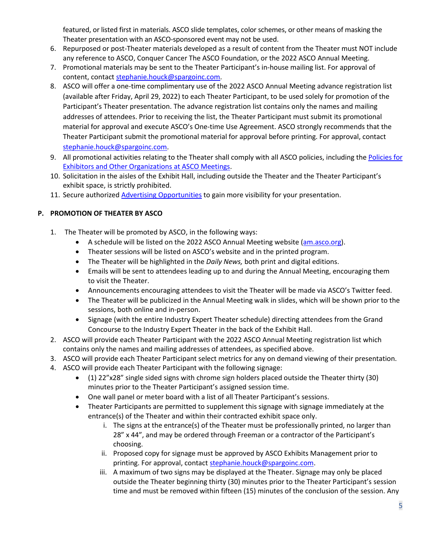featured, or listed first in materials. ASCO slide templates, color schemes, or other means of masking the Theater presentation with an ASCO-sponsored event may not be used.

- 6. Repurposed or post-Theater materials developed as a result of content from the Theater must NOT include any reference to ASCO, Conquer Cancer The ASCO Foundation, or the 2022 ASCO Annual Meeting.
- 7. Promotional materials may be sent to the Theater Participant's in-house mailing list. For approval of content, contact [stephanie.houck@spargoinc.com.](mailto:stephanie.houck@spargoinc.com)
- 8. ASCO will offer a one-time complimentary use of the 2022 ASCO Annual Meeting advance registration list (available after Friday, April 29, 2022) to each Theater Participant, to be used solely for promotion of the Participant's Theater presentation. The advance registration list contains only the names and mailing addresses of attendees. Prior to receiving the list, the Theater Participant must submit its promotional material for approval and execute ASCO's One-time Use Agreement. ASCO strongly recommends that the Theater Participant submit the promotional material for approval before printing. For approval, contact [stephanie.houck@spargoinc.com.](mailto:stephanie.houck@spargoinc.com)
- 9. All promotional activities relating to the Theater shall comply with all ASCO policies, including the Policies for [Exhibitors and Other Organizations at ASCO Meetings.](https://www.asco.org/meetings-education/meetings/exhibitor-information/exhibitor-policies)
- 10. Solicitation in the aisles of the Exhibit Hall, including outside the Theater and the Theater Participant's exhibit space, is strictly prohibited.
- 11. Secure authorized [Advertising Opportunities](https://conferences.asco.org/am/advertising-opportunities) to gain more visibility for your presentation.

# **P. PROMOTION OF THEATER BY ASCO**

- 1. The Theater will be promoted by ASCO, in the following ways:
	- A schedule will be listed on the 2022 ASCO Annual Meeting website [\(am.asco.org\)](https://conferences.asco.org/am/attend).
	- Theater sessions will be listed on ASCO's website and in the printed program.
	- The Theater will be highlighted in the *Daily News,* both print and digital editions.
	- Emails will be sent to attendees leading up to and during the Annual Meeting, encouraging them to visit the Theater.
	- Announcements encouraging attendees to visit the Theater will be made via ASCO's Twitter feed.
	- The Theater will be publicized in the Annual Meeting walk in slides, which will be shown prior to the sessions, both online and in-person.
	- Signage (with the entire Industry Expert Theater schedule) directing attendees from the Grand Concourse to the Industry Expert Theater in the back of the Exhibit Hall.
- 2. ASCO will provide each Theater Participant with the 2022 ASCO Annual Meeting registration list which contains only the names and mailing addresses of attendees, as specified above.
- 3. ASCO will provide each Theater Participant select metrics for any on demand viewing of their presentation.
- 4. ASCO will provide each Theater Participant with the following signage:
	- (1) 22"x28" single sided signs with chrome sign holders placed outside the Theater thirty (30) minutes prior to the Theater Participant's assigned session time.
	- One wall panel or meter board with a list of all Theater Participant's sessions.
	- Theater Participants are permitted to supplement this signage with signage immediately at the entrance(s) of the Theater and within their contracted exhibit space only.
		- i. The signs at the entrance(s) of the Theater must be professionally printed, no larger than 28" x 44", and may be ordered through Freeman or a contractor of the Participant's choosing.
		- ii. Proposed copy for signage must be approved by ASCO Exhibits Management prior to printing. For approval, contact [stephanie.houck@spargoinc.com.](mailto:stephanie.houck@spargoinc.com)
		- iii. A maximum of two signs may be displayed at the Theater. Signage may only be placed outside the Theater beginning thirty (30) minutes prior to the Theater Participant's session time and must be removed within fifteen (15) minutes of the conclusion of the session. Any